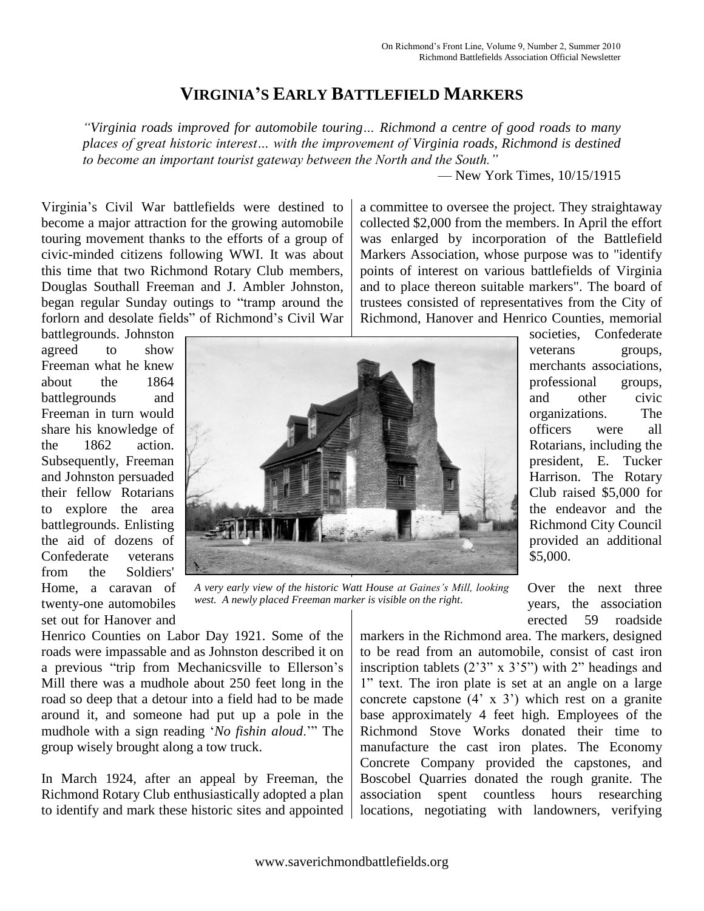## **VIRGINIA'S EARLY BATTLEFIELD MARKERS**

*"Virginia roads improved for automobile touring… Richmond a centre of good roads to many places of great historic interest… with the improvement of Virginia roads, Richmond is destined to become an important tourist gateway between the North and the South."*

— New York Times, 10/15/1915

Virginia's Civil War battlefields were destined to become a major attraction for the growing automobile touring movement thanks to the efforts of a group of civic-minded citizens following WWI. It was about this time that two Richmond Rotary Club members, Douglas Southall Freeman and J. Ambler Johnston, began regular Sunday outings to "tramp around the forlorn and desolate fields" of Richmond's Civil War a committee to oversee the project. They straightaway collected \$2,000 from the members. In April the effort was enlarged by incorporation of the Battlefield Markers Association, whose purpose was to "identify points of interest on various battlefields of Virginia and to place thereon suitable markers". The board of trustees consisted of representatives from the City of Richmond, Hanover and Henrico Counties, memorial

battlegrounds. Johnston agreed to show Freeman what he knew about the 1864 battlegrounds and Freeman in turn would share his knowledge of the 1862 action. Subsequently, Freeman and Johnston persuaded their fellow Rotarians to explore the area battlegrounds. Enlisting the aid of dozens of Confederate veterans from the Soldiers' Home, a caravan of twenty-one automobiles set out for Hanover and



*A very early view of the historic Watt House at Gaines's Mill, looking west. A newly placed Freeman marker is visible on the right.*

Henrico Counties on Labor Day 1921. Some of the roads were impassable and as Johnston described it on a previous "trip from Mechanicsville to Ellerson's Mill there was a mudhole about 250 feet long in the road so deep that a detour into a field had to be made around it, and someone had put up a pole in the mudhole with a sign reading '*No fishin aloud*.'" The group wisely brought along a tow truck.

In March 1924, after an appeal by Freeman, the Richmond Rotary Club enthusiastically adopted a plan to identify and mark these historic sites and appointed

Over the next three years, the association erected 59 roadside

\$5,000.

societies, Confederate veterans groups, merchants associations, professional groups, and other civic organizations. The officers were all Rotarians, including the president, E. Tucker Harrison. The Rotary Club raised \$5,000 for the endeavor and the Richmond City Council provided an additional

markers in the Richmond area. The markers, designed to be read from an automobile, consist of cast iron inscription tablets (2'3" x 3'5") with 2" headings and 1" text. The iron plate is set at an angle on a large concrete capstone  $(4' \times 3')$  which rest on a granite base approximately 4 feet high. Employees of the Richmond Stove Works donated their time to manufacture the cast iron plates. The Economy Concrete Company provided the capstones, and Boscobel Quarries donated the rough granite. The association spent countless hours researching locations, negotiating with landowners, verifying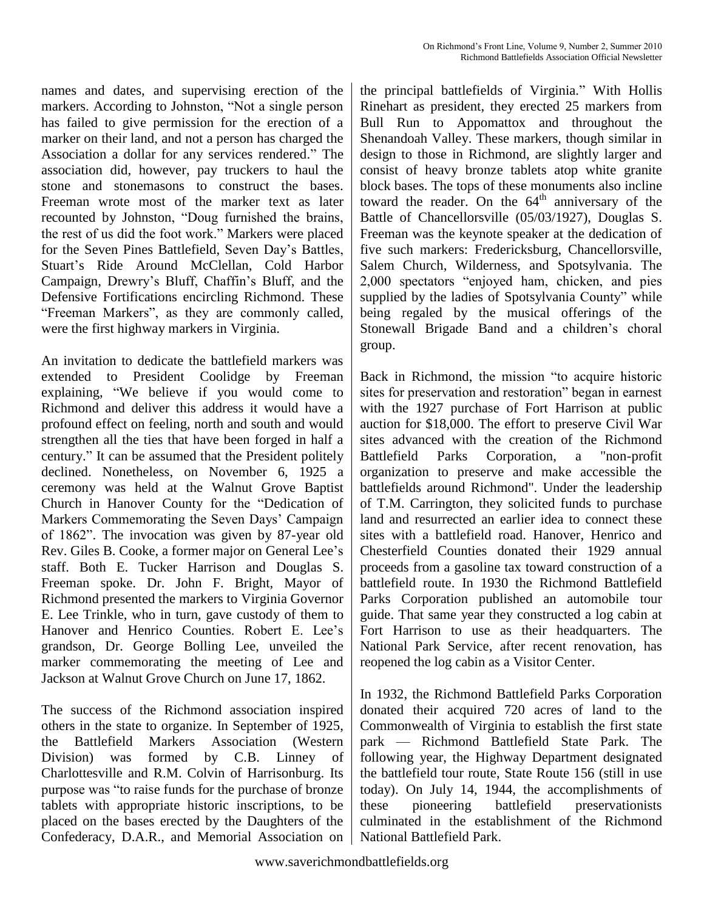names and dates, and supervising erection of the markers. According to Johnston, "Not a single person has failed to give permission for the erection of a marker on their land, and not a person has charged the Association a dollar for any services rendered." The association did, however, pay truckers to haul the stone and stonemasons to construct the bases. Freeman wrote most of the marker text as later recounted by Johnston, "Doug furnished the brains, the rest of us did the foot work." Markers were placed for the Seven Pines Battlefield, Seven Day's Battles, Stuart's Ride Around McClellan, Cold Harbor Campaign, Drewry's Bluff, Chaffin's Bluff, and the Defensive Fortifications encircling Richmond. These "Freeman Markers", as they are commonly called, were the first highway markers in Virginia.

An invitation to dedicate the battlefield markers was extended to President Coolidge by Freeman explaining, "We believe if you would come to Richmond and deliver this address it would have a profound effect on feeling, north and south and would strengthen all the ties that have been forged in half a century." It can be assumed that the President politely declined. Nonetheless, on November 6, 1925 a ceremony was held at the Walnut Grove Baptist Church in Hanover County for the "Dedication of Markers Commemorating the Seven Days' Campaign of 1862". The invocation was given by 87-year old Rev. Giles B. Cooke, a former major on General Lee's staff. Both E. Tucker Harrison and Douglas S. Freeman spoke. Dr. John F. Bright, Mayor of Richmond presented the markers to Virginia Governor E. Lee Trinkle, who in turn, gave custody of them to Hanover and Henrico Counties. Robert E. Lee's grandson, Dr. George Bolling Lee, unveiled the marker commemorating the meeting of Lee and Jackson at Walnut Grove Church on June 17, 1862.

The success of the Richmond association inspired others in the state to organize. In September of 1925, the Battlefield Markers Association (Western Division) was formed by C.B. Linney of Charlottesville and R.M. Colvin of Harrisonburg. Its purpose was "to raise funds for the purchase of bronze tablets with appropriate historic inscriptions, to be placed on the bases erected by the Daughters of the Confederacy, D.A.R., and Memorial Association on the principal battlefields of Virginia." With Hollis Rinehart as president, they erected 25 markers from Bull Run to Appomattox and throughout the Shenandoah Valley. These markers, though similar in design to those in Richmond, are slightly larger and consist of heavy bronze tablets atop white granite block bases. The tops of these monuments also incline toward the reader. On the  $64<sup>th</sup>$  anniversary of the Battle of Chancellorsville (05/03/1927), Douglas S. Freeman was the keynote speaker at the dedication of five such markers: Fredericksburg, Chancellorsville, Salem Church, Wilderness, and Spotsylvania. The 2,000 spectators "enjoyed ham, chicken, and pies supplied by the ladies of Spotsylvania County" while being regaled by the musical offerings of the Stonewall Brigade Band and a children's choral group.

Back in Richmond, the mission "to acquire historic sites for preservation and restoration" began in earnest with the 1927 purchase of Fort Harrison at public auction for \$18,000. The effort to preserve Civil War sites advanced with the creation of the Richmond Battlefield Parks Corporation, a "non-profit organization to preserve and make accessible the battlefields around Richmond". Under the leadership of T.M. Carrington, they solicited funds to purchase land and resurrected an earlier idea to connect these sites with a battlefield road. Hanover, Henrico and Chesterfield Counties donated their 1929 annual proceeds from a gasoline tax toward construction of a battlefield route. In 1930 the Richmond Battlefield Parks Corporation published an automobile tour guide. That same year they constructed a log cabin at Fort Harrison to use as their headquarters. The National Park Service, after recent renovation, has reopened the log cabin as a Visitor Center.

In 1932, the Richmond Battlefield Parks Corporation donated their acquired 720 acres of land to the Commonwealth of Virginia to establish the first state park — Richmond Battlefield State Park. The following year, the Highway Department designated the battlefield tour route, State Route 156 (still in use today). On July 14, 1944, the accomplishments of these pioneering battlefield preservationists culminated in the establishment of the Richmond National Battlefield Park.